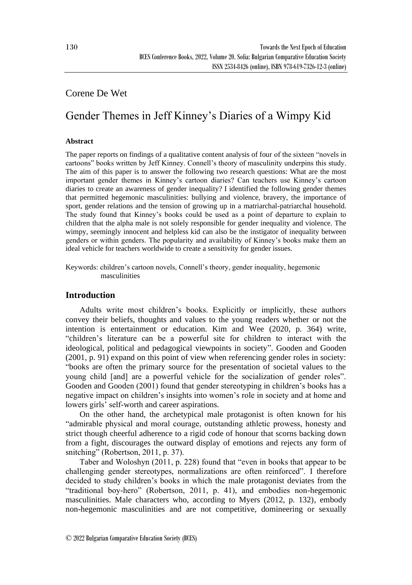## Corene De Wet

# Gender Themes in Jeff Kinney's Diaries of a Wimpy Kid

#### **Abstract**

The paper reports on findings of a qualitative content analysis of four of the sixteen "novels in cartoons" books written by Jeff Kinney. Connell's theory of masculinity underpins this study. The aim of this paper is to answer the following two research questions: What are the most important gender themes in Kinney's cartoon diaries? Can teachers use Kinney's cartoon diaries to create an awareness of gender inequality? I identified the following gender themes that permitted hegemonic masculinities: bullying and violence, bravery, the importance of sport, gender relations and the tension of growing up in a matriarchal-patriarchal household. The study found that Kinney's books could be used as a point of departure to explain to children that the alpha male is not solely responsible for gender inequality and violence. The wimpy, seemingly innocent and helpless kid can also be the instigator of inequality between genders or within genders. The popularity and availability of Kinney's books make them an ideal vehicle for teachers worldwide to create a sensitivity for gender issues.

Keywords: children's cartoon novels, Connell's theory, gender inequality, hegemonic masculinities

## **Introduction**

Adults write most children's books. Explicitly or implicitly, these authors convey their beliefs, thoughts and values to the young readers whether or not the intention is entertainment or education. Kim and Wee (2020, p. 364) write, "children's literature can be a powerful site for children to interact with the ideological, political and pedagogical viewpoints in society". Gooden and Gooden (2001, p. 91) expand on this point of view when referencing gender roles in society: "books are often the primary source for the presentation of societal values to the young child [and] are a powerful vehicle for the socialization of gender roles". Gooden and Gooden (2001) found that gender stereotyping in children's books has a negative impact on children's insights into women's role in society and at home and lowers girls' self-worth and career aspirations.

On the other hand, the archetypical male protagonist is often known for his "admirable physical and moral courage, outstanding athletic prowess, honesty and strict though cheerful adherence to a rigid code of honour that scorns backing down from a fight, discourages the outward display of emotions and rejects any form of snitching" (Robertson, 2011, p. 37).

Taber and Woloshyn (2011, p. 228) found that "even in books that appear to be challenging gender stereotypes, normalizations are often reinforced". I therefore decided to study children's books in which the male protagonist deviates from the "traditional boy-hero" (Robertson, 2011, p. 41), and embodies non-hegemonic masculinities. Male characters who, according to Myers (2012, p. 132), embody non-hegemonic masculinities and are not competitive, domineering or sexually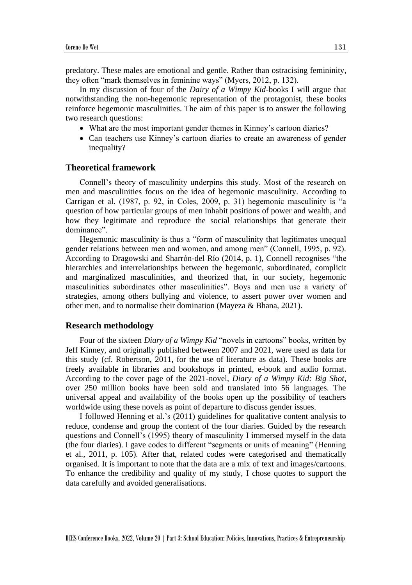predatory. These males are emotional and gentle. Rather than ostracising femininity, they often "mark themselves in feminine ways" (Myers, 2012, p. 132).

In my discussion of four of the *Dairy of a Wimpy Kid*-books I will argue that notwithstanding the non-hegemonic representation of the protagonist, these books reinforce hegemonic masculinities. The aim of this paper is to answer the following two research questions:

- What are the most important gender themes in Kinney's cartoon diaries?
- Can teachers use Kinney's cartoon diaries to create an awareness of gender inequality?

#### **Theoretical framework**

Connell's theory of masculinity underpins this study. Most of the research on men and masculinities focus on the idea of hegemonic masculinity. According to Carrigan et al. (1987, p. 92, in Coles, 2009, p. 31) hegemonic masculinity is "a question of how particular groups of men inhabit positions of power and wealth, and how they legitimate and reproduce the social relationships that generate their dominance".

Hegemonic masculinity is thus a "form of masculinity that legitimates unequal gender relations between men and women, and among men" (Connell, 1995, p. 92). According to Dragowski and Sharrón-del Río (2014, p. 1), Connell recognises "the hierarchies and interrelationships between the hegemonic, subordinated, complicit and marginalized masculinities, and theorized that, in our society, hegemonic masculinities subordinates other masculinities". Boys and men use a variety of strategies, among others bullying and violence, to assert power over women and other men, and to normalise their domination (Mayeza & Bhana, 2021).

#### **Research methodology**

Four of the sixteen *Diary of a Wimpy Kid* "novels in cartoons" books, written by Jeff Kinney, and originally published between 2007 and 2021, were used as data for this study (cf. Robertson, 2011, for the use of literature as data). These books are freely available in libraries and bookshops in printed, e-book and audio format. According to the cover page of the 2021-novel, *Diary of a Wimpy Kid: Big Shot*, over 250 million books have been sold and translated into 56 languages. The universal appeal and availability of the books open up the possibility of teachers worldwide using these novels as point of departure to discuss gender issues.

I followed Henning et al.'s (2011) guidelines for qualitative content analysis to reduce, condense and group the content of the four diaries. Guided by the research questions and Connell's (1995) theory of masculinity I immersed myself in the data (the four diaries). I gave codes to different "segments or units of meaning" (Henning et al., 2011, p. 105). After that, related codes were categorised and thematically organised. It is important to note that the data are a mix of text and images/cartoons. To enhance the credibility and quality of my study, I chose quotes to support the data carefully and avoided generalisations.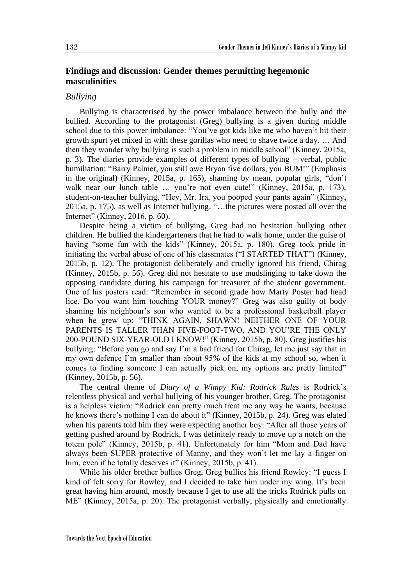## **Findings and discussion: Gender themes permitting hegemonic masculinities**

### *Bullying*

Bullying is characterised by the power imbalance between the bully and the bullied. According to the protagonist (Greg) bullying is a given during middle school due to this power imbalance: "You've got kids like me who haven't hit their growth spurt yet mixed in with these gorillas who need to shave twice a day. … And then they wonder why bullying is such a problem in middle school" (Kinney, 2015a, p. 3). The diaries provide examples of different types of bullying – verbal, public humiliation: "Barry Palmer, you still owe Bryan five dollars, you BUM!" (Emphasis in the original) (Kinney, 2015a, p. 165), shaming by mean, popular girls, "don't walk near our lunch table ... you're not even cute!" (Kinney, 2015a, p. 173), student-on-teacher bullying, "Hey, Mr. Ira, you pooped your pants again" (Kinney, 2015a, p. 175), as well as Internet bullying, "…the pictures were posted all over the Internet" (Kinney, 2016, p. 60).

Despite being a victim of bullying, Greg had no hesitation bullying other children. He bullied the kindergarteners that he had to walk home, under the guise of having "some fun with the kids" (Kinney, 2015a, p. 180). Greg took pride in initiating the verbal abuse of one of his classmates ("I STARTED THAT") (Kinney, 2015b, p. 12). The protagonist deliberately and cruelly ignored his friend, Chirag (Kinney, 2015b, p. 56). Greg did not hesitate to use mudslinging to take down the opposing candidate during his campaign for treasurer of the student government. One of his posters read: "Remember in second grade how Marty Poster had head lice. Do you want him touching YOUR money?" Greg was also guilty of body shaming his neighbour's son who wanted to be a professional basketball player when he grew up: "THINK AGAIN, SHAWN! NEITHER ONE OF YOUR PARENTS IS TALLER THAN FIVE-FOOT-TWO, AND YOU'RE THE ONLY 200-POUND SIX-YEAR-OLD I KNOW!" (Kinney, 2015b, p. 80). Greg justifies his bullying: "Before you go and say I'm a bad friend for Chirag, let me just say that in my own defence I'm smaller than about 95% of the kids at my school so, when it comes to finding someone I can actually pick on, my options are pretty limited" (Kinney, 2015b, p. 56).

The central theme of *Diary of a Wimpy Kid: Rodrick Rules* is Rodrick's relentless physical and verbal bullying of his younger brother, Greg. The protagonist is a helpless victim: "Rodrick can pretty much treat me any way he wants, because he knows there's nothing I can do about it" (Kinney, 2015b, p. 24). Greg was elated when his parents told him they were expecting another boy: "After all those years of getting pushed around by Rodrick, I was definitely ready to move up a notch on the totem pole" (Kinney, 2015b, p. 41). Unfortunately for him "Mom and Dad have always been SUPER protective of Manny, and they won't let me lay a finger on him, even if he totally deserves it" (Kinney, 2015b, p. 41).

While his older brother bullies Greg, Greg bullies his friend Rowley: "I guess I kind of felt sorry for Rowley, and I decided to take him under my wing. It's been great having him around, mostly because I get to use all the tricks Rodrick pulls on ME" (Kinney, 2015a, p. 20). The protagonist verbally, physically and emotionally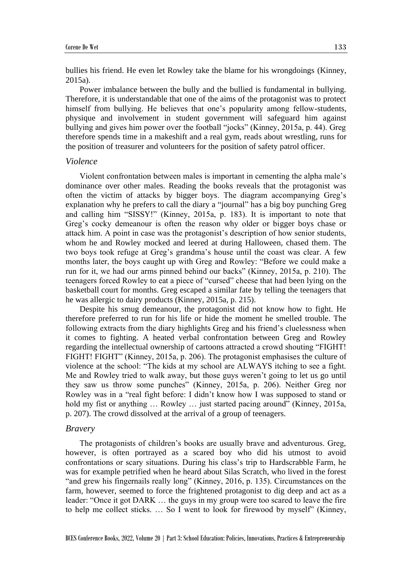bullies his friend. He even let Rowley take the blame for his wrongdoings (Kinney, 2015a).

Power imbalance between the bully and the bullied is fundamental in bullying. Therefore, it is understandable that one of the aims of the protagonist was to protect himself from bullying. He believes that one's popularity among fellow-students, physique and involvement in student government will safeguard him against bullying and gives him power over the football "jocks" (Kinney, 2015a, p. 44). Greg therefore spends time in a makeshift and a real gym, reads about wrestling, runs for the position of treasurer and volunteers for the position of safety patrol officer.

#### *Violence*

Violent confrontation between males is important in cementing the alpha male's dominance over other males. Reading the books reveals that the protagonist was often the victim of attacks by bigger boys. The diagram accompanying Greg's explanation why he prefers to call the diary a "journal" has a big boy punching Greg and calling him "SISSY!" (Kinney, 2015a, p. 183). It is important to note that Greg's cocky demeanour is often the reason why older or bigger boys chase or attack him. A point in case was the protagonist's description of how senior students, whom he and Rowley mocked and leered at during Halloween, chased them. The two boys took refuge at Greg's grandma's house until the coast was clear. A few months later, the boys caught up with Greg and Rowley: "Before we could make a run for it, we had our arms pinned behind our backs" (Kinney, 2015a, p. 210). The teenagers forced Rowley to eat a piece of "cursed" cheese that had been lying on the basketball court for months. Greg escaped a similar fate by telling the teenagers that he was allergic to dairy products (Kinney, 2015a, p. 215).

Despite his smug demeanour, the protagonist did not know how to fight. He therefore preferred to run for his life or hide the moment he smelled trouble. The following extracts from the diary highlights Greg and his friend's cluelessness when it comes to fighting. A heated verbal confrontation between Greg and Rowley regarding the intellectual ownership of cartoons attracted a crowd shouting "FIGHT! FIGHT! FIGHT" (Kinney, 2015a, p. 206). The protagonist emphasises the culture of violence at the school: "The kids at my school are ALWAYS itching to see a fight. Me and Rowley tried to walk away, but those guys weren't going to let us go until they saw us throw some punches" (Kinney, 2015a, p. 206). Neither Greg nor Rowley was in a "real fight before: I didn't know how I was supposed to stand or hold my fist or anything ... Rowley ... just started pacing around" (Kinney, 2015a, p. 207). The crowd dissolved at the arrival of a group of teenagers.

#### *Bravery*

The protagonists of children's books are usually brave and adventurous. Greg, however, is often portrayed as a scared boy who did his utmost to avoid confrontations or scary situations. During his class's trip to Hardscrabble Farm, he was for example petrified when he heard about Silas Scratch, who lived in the forest "and grew his fingernails really long" (Kinney, 2016, p. 135). Circumstances on the farm, however, seemed to force the frightened protagonist to dig deep and act as a leader: "Once it got DARK … the guys in my group were too scared to leave the fire to help me collect sticks. … So I went to look for firewood by myself" (Kinney,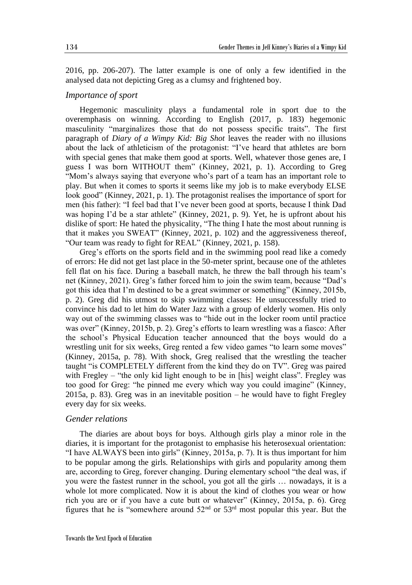2016, pp. 206-207). The latter example is one of only a few identified in the analysed data not depicting Greg as a clumsy and frightened boy.

#### *Importance of sport*

Hegemonic masculinity plays a fundamental role in sport due to the overemphasis on winning. According to English (2017, p. 183) hegemonic masculinity "marginalizes those that do not possess specific traits". The first paragraph of *Diary of a Wimpy Kid: Big Shot* leaves the reader with no illusions about the lack of athleticism of the protagonist: "I've heard that athletes are born with special genes that make them good at sports. Well, whatever those genes are, I guess I was born WITHOUT them" (Kinney, 2021, p. 1). According to Greg "Mom's always saying that everyone who's part of a team has an important role to play. But when it comes to sports it seems like my job is to make everybody ELSE look good" (Kinney, 2021, p. 1). The protagonist realises the importance of sport for men (his father): "I feel bad that I've never been good at sports, because I think Dad was hoping I'd be a star athlete" (Kinney, 2021, p. 9). Yet, he is upfront about his dislike of sport: He hated the physicality, "The thing I hate the most about running is that it makes you SWEAT" (Kinney, 2021, p. 102) and the aggressiveness thereof, "Our team was ready to fight for REAL" (Kinney, 2021, p. 158).

Greg's efforts on the sports field and in the swimming pool read like a comedy of errors: He did not get last place in the 50-meter sprint, because one of the athletes fell flat on his face. During a baseball match, he threw the ball through his team's net (Kinney, 2021). Greg's father forced him to join the swim team, because "Dad's got this idea that I'm destined to be a great swimmer or something" (Kinney, 2015b, p. 2). Greg did his utmost to skip swimming classes: He unsuccessfully tried to convince his dad to let him do Water Jazz with a group of elderly women. His only way out of the swimming classes was to "hide out in the locker room until practice was over" (Kinney, 2015b, p. 2). Greg's efforts to learn wrestling was a fiasco: After the school's Physical Education teacher announced that the boys would do a wrestling unit for six weeks, Greg rented a few video games "to learn some moves" (Kinney, 2015a, p. 78). With shock, Greg realised that the wrestling the teacher taught "is COMPLETELY different from the kind they do on TV". Greg was paired with Fregley – "the only kid light enough to be in [his] weight class". Fregley was too good for Greg: "he pinned me every which way you could imagine" (Kinney, 2015a, p. 83). Greg was in an inevitable position – he would have to fight Fregley every day for six weeks.

#### *Gender relations*

The diaries are about boys for boys. Although girls play a minor role in the diaries, it is important for the protagonist to emphasise his heterosexual orientation: "I have ALWAYS been into girls" (Kinney, 2015a, p. 7). It is thus important for him to be popular among the girls. Relationships with girls and popularity among them are, according to Greg, forever changing. During elementary school "the deal was, if you were the fastest runner in the school, you got all the girls … nowadays, it is a whole lot more complicated. Now it is about the kind of clothes you wear or how rich you are or if you have a cute butt or whatever" (Kinney, 2015a, p. 6). Greg figures that he is "somewhere around  $52<sup>nd</sup>$  or  $53<sup>rd</sup>$  most popular this year. But the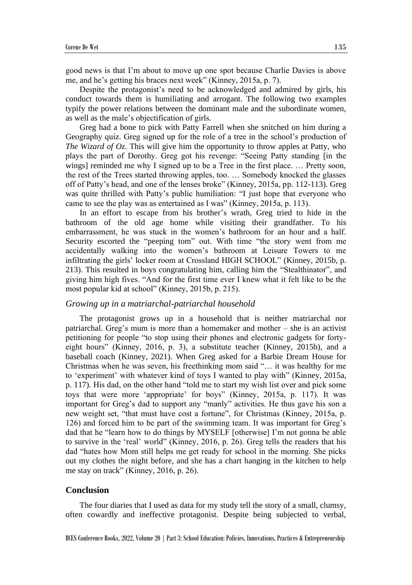good news is that I'm about to move up one spot because Charlie Davies is above me, and he's getting his braces next week" (Kinney, 2015a, p. 7).

Despite the protagonist's need to be acknowledged and admired by girls, his conduct towards them is humiliating and arrogant. The following two examples typify the power relations between the dominant male and the subordinate women, as well as the male's objectification of girls.

Greg had a bone to pick with Patty Farrell when she snitched on him during a Geography quiz. Greg signed up for the role of a tree in the school's production of *The Wizard of Oz*. This will give him the opportunity to throw apples at Patty, who plays the part of Dorothy. Greg got his revenge: "Seeing Patty standing [in the wings] reminded me why I signed up to be a Tree in the first place. … Pretty soon, the rest of the Trees started throwing apples, too. … Somebody knocked the glasses off of Patty's head, and one of the lenses broke" (Kinney, 2015a, pp. 112-113). Greg was quite thrilled with Patty's public humiliation: "I just hope that everyone who came to see the play was as entertained as I was" (Kinney, 2015a, p. 113).

In an effort to escape from his brother's wrath, Greg tried to hide in the bathroom of the old age home while visiting their grandfather. To his embarrassment, he was stuck in the women's bathroom for an hour and a half. Security escorted the "peeping tom" out. With time "the story went from me accidentally walking into the women's bathroom at Leisure Towers to me infiltrating the girls' locker room at Crossland HIGH SCHOOL" (Kinney, 2015b, p. 213). This resulted in boys congratulating him, calling him the "Stealthinator", and giving him high fives. "And for the first time ever I knew what it felt like to be the most popular kid at school" (Kinney, 2015b, p. 215).

#### *Growing up in a matriarchal-patriarchal household*

The protagonist grows up in a household that is neither matriarchal nor patriarchal. Greg's mum is more than a homemaker and mother – she is an activist petitioning for people "to stop using their phones and electronic gadgets for fortyeight hours" (Kinney, 2016, p. 3), a substitute teacher (Kinney, 2015b), and a baseball coach (Kinney, 2021). When Greg asked for a Barbie Dream House for Christmas when he was seven, his freethinking mom said "… it was healthy for me to 'experiment' with whatever kind of toys I wanted to play with" (Kinney, 2015a, p. 117). His dad, on the other hand "told me to start my wish list over and pick some toys that were more 'appropriate' for boys" (Kinney, 2015a, p. 117). It was important for Greg's dad to support any "manly" activities. He thus gave his son a new weight set, "that must have cost a fortune", for Christmas (Kinney, 2015a, p. 126) and forced him to be part of the swimming team. It was important for Greg's dad that he "learn how to do things by MYSELF [otherwise] I'm not gonna be able to survive in the 'real' world" (Kinney, 2016, p. 26). Greg tells the readers that his dad "hates how Mom still helps me get ready for school in the morning. She picks out my clothes the night before, and she has a chart hanging in the kitchen to help me stay on track" (Kinney, 2016, p. 26).

#### **Conclusion**

The four diaries that I used as data for my study tell the story of a small, clumsy, often cowardly and ineffective protagonist. Despite being subjected to verbal,